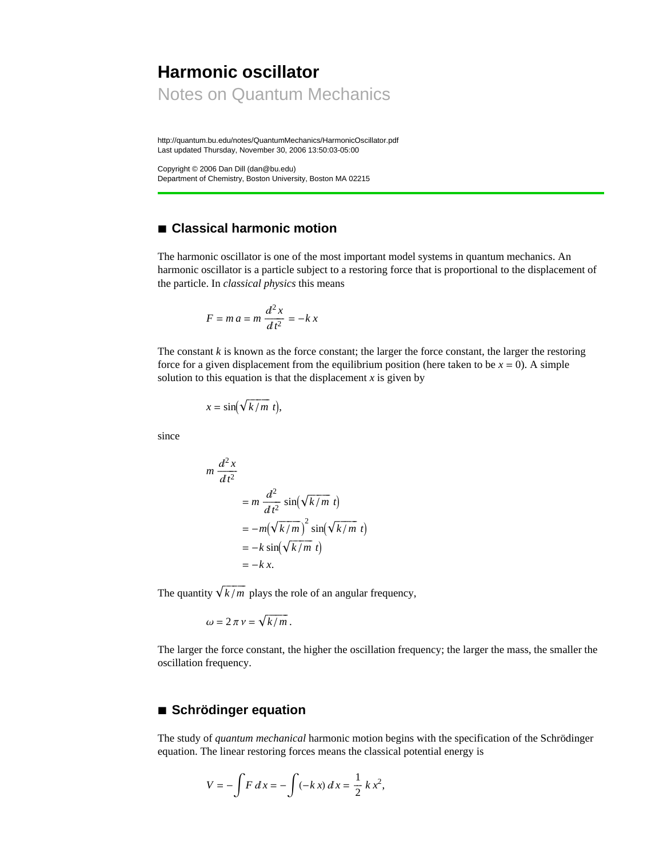# **Harmonic oscillator** Notes on Quantum Mechanics

http://quantum.bu.edu/notes/QuantumMechanics/HarmonicOscillator.pdf Last updated Thursday, November 30, 2006 13:50:03-05:00

Copyright © 2006 Dan Dill (dan@bu.edu) Department of Chemistry, Boston University, Boston MA 02215

# **à Classical harmonic motion**

The harmonic oscillator is one of the most important model systems in quantum mechanics. An harmonic oscillator is a particle subject to a restoring force that is proportional to the displacement of the particle. In *classical physics* this means

$$
F = ma = m \frac{d^2x}{dt^2} = -k x
$$

The constant *k* is known as the force constant; the larger the force constant, the larger the restoring force for a given displacement from the equilibrium position (here taken to be  $x = 0$ ). A simple solution to this equation is that the displacement  $x$  is given by

$$
x = \sin(\sqrt{k/m} \ t),
$$

since

$$
m \frac{d^2 x}{dt^2}
$$
  
=  $m \frac{d^2}{dt^2} \sin(\sqrt{k/m} t)$   
=  $-m(\sqrt{k/m})^2 \sin(\sqrt{k/m} t)$   
=  $-k \sin(\sqrt{k/m} t)$   
=  $-k x$ .

The quantity  $\sqrt{k/m}$  plays the role of an angular frequency,

$$
\omega = 2 \pi \nu = \sqrt{k/m}.
$$

The larger the force constant, the higher the oscillation frequency; the larger the mass, the smaller the oscillation frequency.

# **à Schrödinger equation**

The study of *quantum mechanical* harmonic motion begins with the specification of the Schrödinger equation. The linear restoring forces means the classical potential energy is

$$
V = -\int F dx = -\int (-kx) dx = \frac{1}{2} k x^2,
$$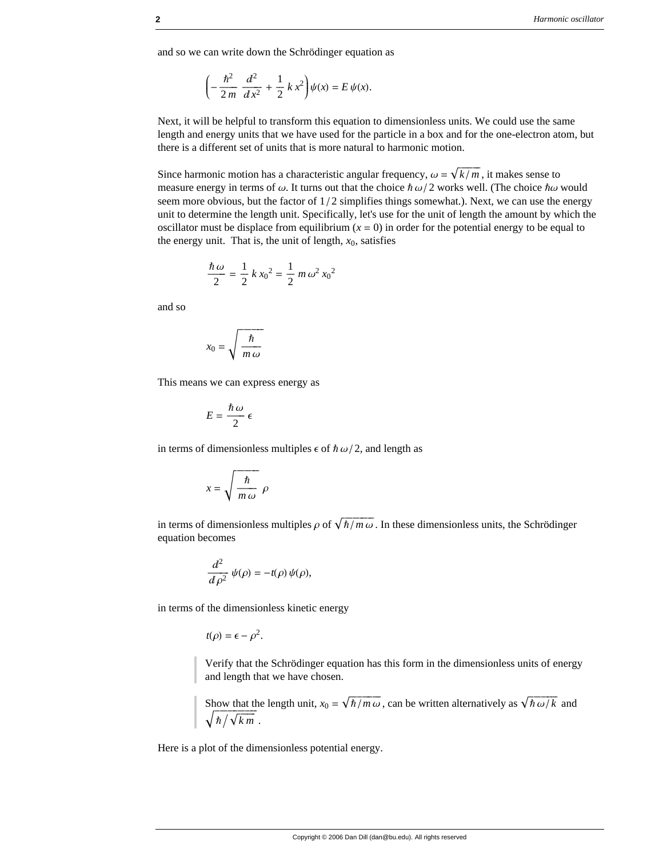and so we can write down the Schrödinger equation as

$$
\left(-\frac{\hbar^2}{2m}\frac{d^2}{dx^2} + \frac{1}{2}kx^2\right)\psi(x) = E\,\psi(x).
$$

Next, it will be helpful to transform this equation to dimensionless units. We could use the same length and energy units that we have used for the particle in a box and for the one-electron atom, but there is a different set of units that is more natural to harmonic motion.

Since harmonic motion has a characteristic angular frequency,  $\omega = \sqrt{k/m}$ , it makes sense to measure energy in terms of  $\omega$ . It turns out that the choice  $\hbar \omega/2$  works well. (The choice  $\hbar \omega$  would seem more obvious, but the factor of  $1/2$  simplifies things somewhat.). Next, we can use the energy unit to determine the length unit. Specifically, let's use for the unit of length the amount by which the oscillator must be displace from equilibrium  $(x = 0)$  in order for the potential energy to be equal to the energy unit. That is, the unit of length,  $x_0$ , satisfies

$$
\frac{\hbar \,\omega}{2} = \frac{1}{2} \, k \, x_0^2 = \frac{1}{2} \, m \, \omega^2 \, x_0^2
$$

and so

$$
x_0 = \sqrt{\frac{\hbar}{m \omega}}
$$

This means we can express energy as

$$
E=\frac{\hbar\,\omega}{2}\,\epsilon
$$

in terms of dimensionless multiples  $\epsilon$  of  $\hbar \omega/2$ , and length as

$$
x = \sqrt{\frac{\hbar}{m \omega}} \rho
$$

in terms of dimensionless multiples  $\rho$  of  $\sqrt{\frac{\hbar}{m \omega}}$ . In these dimensionless units, the Schrödinger equation becomes

$$
\frac{d^2}{d\rho^2}\,\psi(\rho)=-t(\rho)\,\psi(\rho),
$$

in terms of the dimensionless kinetic energy

$$
t(\rho) = \epsilon - \rho^2.
$$

Verify that the Schrödinger equation has this form in the dimensionless units of energy and length that we have chosen.

Show that the length unit,  $x_0 = \sqrt{\frac{\hbar}{m \omega}}$ , can be written alternatively as  $\sqrt{\frac{\hbar \omega}{k}}$  and  $\sqrt{\hbar / \sqrt{km}}$ .

Here is a plot of the dimensionless potential energy.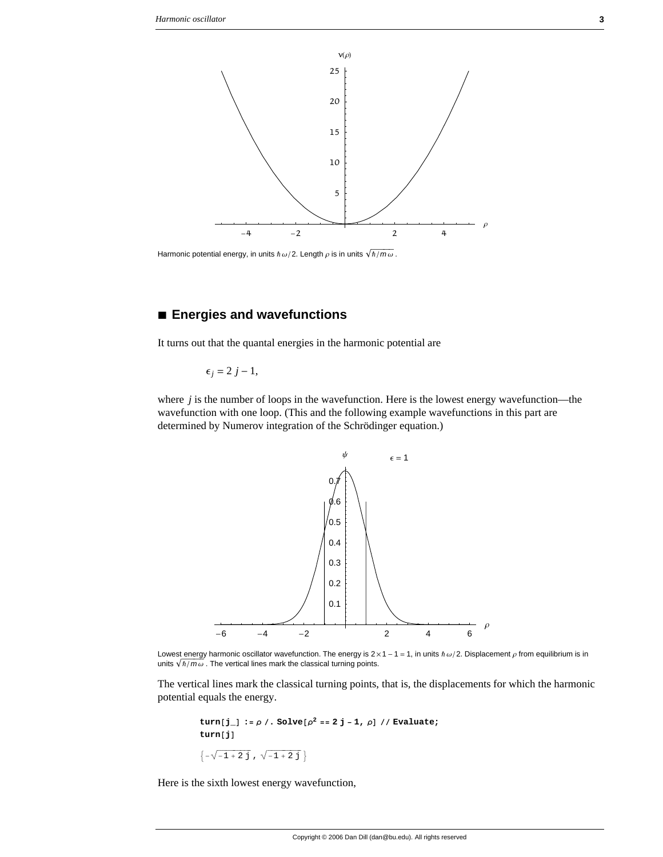

Harmonic potential energy, in units  $\hbar \omega/2$ . Length  $\rho$  is in units  $\sqrt{\hbar/m\omega}$ .

# Energies and wavefunctions

It turns out that the quantal energies in the harmonic potential are

 $\epsilon_i = 2 j - 1$ ,

where  $j$  is the number of loops in the wavefunction. Here is the lowest energy wavefunction—the wavefunction with one loop. (This and the following example wavefunctions in this part are determined by Numerov integration of the Schrödinger equation.)



Lowest energy harmonic oscillator wavefunction. The energy is  $2 \times 1 - 1 = 1$ , in units  $\hbar \omega/2$ . Displacement  $\rho$  from equilibrium is in units  $\sqrt{\hbar/m\omega}$ . The vertical lines mark the classical turning points.

The vertical lines mark the classical turning points, that is, the displacements for which the harmonic potential equals the energy.

```
turn[j_] := \rho /. Solve[\rho^2 == 2 j - 1, \rho] // Evaluate;
turn[j]
\{-\sqrt{-1+2j}, \sqrt{-1+2j}\}
```
Here is the sixth lowest energy wavefunction,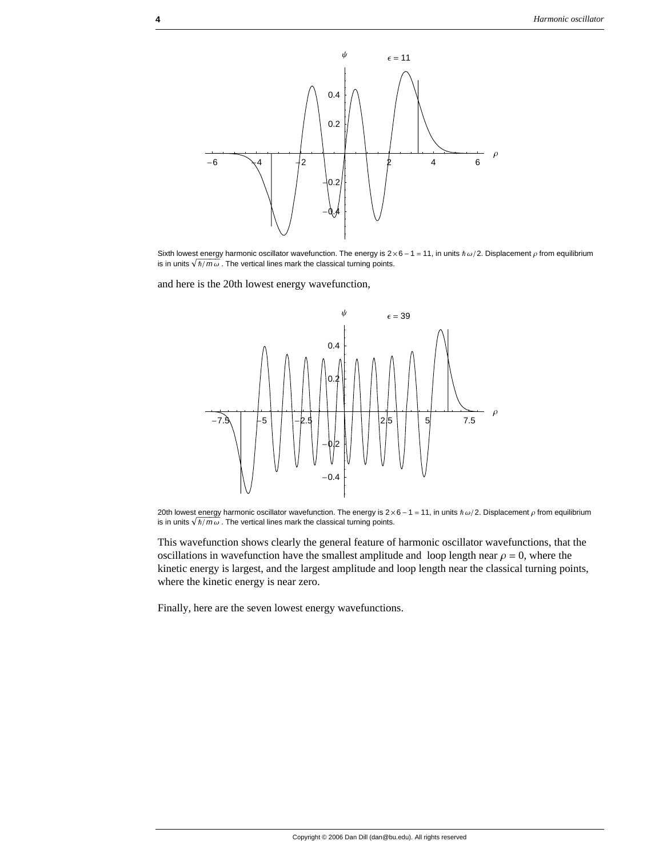

Sixth lowest energy harmonic oscillator wavefunction. The energy is  $2 \times 6 - 1 = 11$ , in units  $\hbar \omega/2$ . Displacement  $\rho$  from equilibrium is in units  $\sqrt{\hbar/m\omega}$ . The vertical lines mark the classical turning points.

and here is the 20th lowest energy wavefunction,



20th lowest energy harmonic oscillator wavefunction. The energy is  $2 \times 6 - 1 = 11$ , in units  $\hbar \omega/2$ . Displacement  $\rho$  from equilibrium is in units  $\sqrt{\hbar/m\omega}$ . The vertical lines mark the classical turning points.

This wavefunction shows clearly the general feature of harmonic oscillator wavefunctions, that the oscillations in wavefunction have the smallest amplitude and loop length near  $\rho = 0$ , where the kinetic energy is largest, and the largest amplitude and loop length near the classical turning points, where the kinetic energy is near zero.

Finally, here are the seven lowest energy wavefunctions.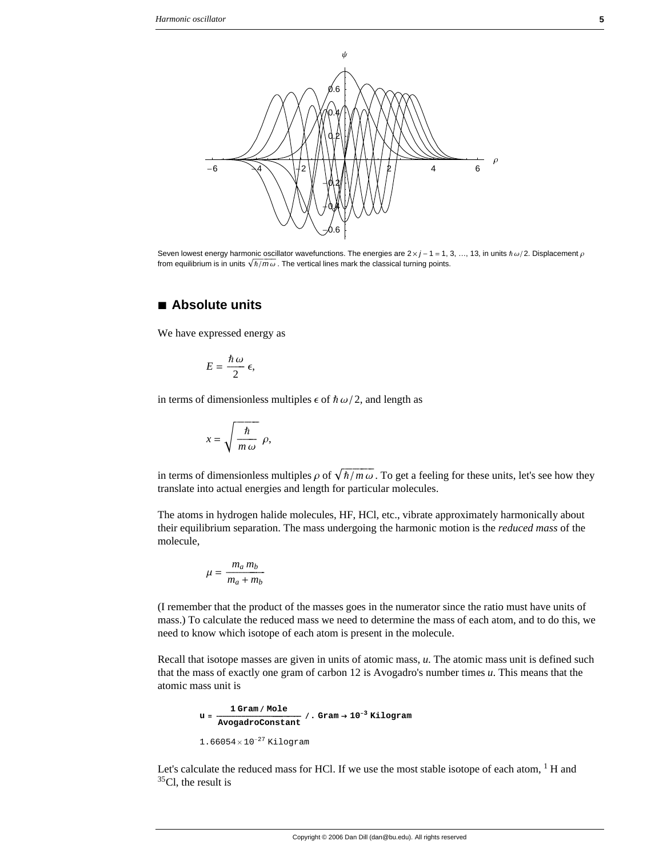

Seven lowest energy harmonic oscillator wavefunctions. The energies are  $2 \times j - 1 = 1, 3, ..., 13$ , in units  $\hbar \omega/2$ . Displacement  $\rho$ from equilibrium is in units  $\sqrt{\hbar/m\omega}$ . The vertical lines mark the classical turning points.

### **à Absolute units**

We have expressed energy as

$$
E=\frac{\hbar\,\omega}{2}\,\epsilon,
$$

in terms of dimensionless multiples  $\epsilon$  of  $\hbar \omega/2$ , and length as

$$
x = \sqrt{\frac{\hbar}{m \omega}} \rho,
$$

in terms of dimensionless multiples  $\rho$  of  $\sqrt{\hbar/m \omega}$ . To get a feeling for these units, let's see how they translate into actual energies and length for particular molecules.

The atoms in hydrogen halide molecules, HF, HCl, etc., vibrate approximately harmonically about their equilibrium separation. The mass undergoing the harmonic motion is the *reduced mass* of the molecule,

$$
\mu = \frac{m_a m_b}{m_a + m_b}
$$

(I remember that the product of the masses goes in the numerator since the ratio must have units of mass.) To calculate the reduced mass we need to determine the mass of each atom, and to do this, we need to know which isotope of each atom is present in the molecule.

Recall that isotope masses are given in units of atomic mass, *u*. The atomic mass unit is defined such that the mass of exactly one gram of carbon 12 is Avogadro's number times *u*. This means that the atomic mass unit is

```
u = 1 Gram ê Mole cccccccccccccccccccccccccccccccccccccccccc AvogadroConstant
ê. Gram → 10−3 Kilogram
1.66054\times10^{-27} Kilogram
```
Let's calculate the reduced mass for HCl. If we use the most stable isotope of each atom,  $<sup>1</sup>$  H and</sup>  $35$ Cl, the result is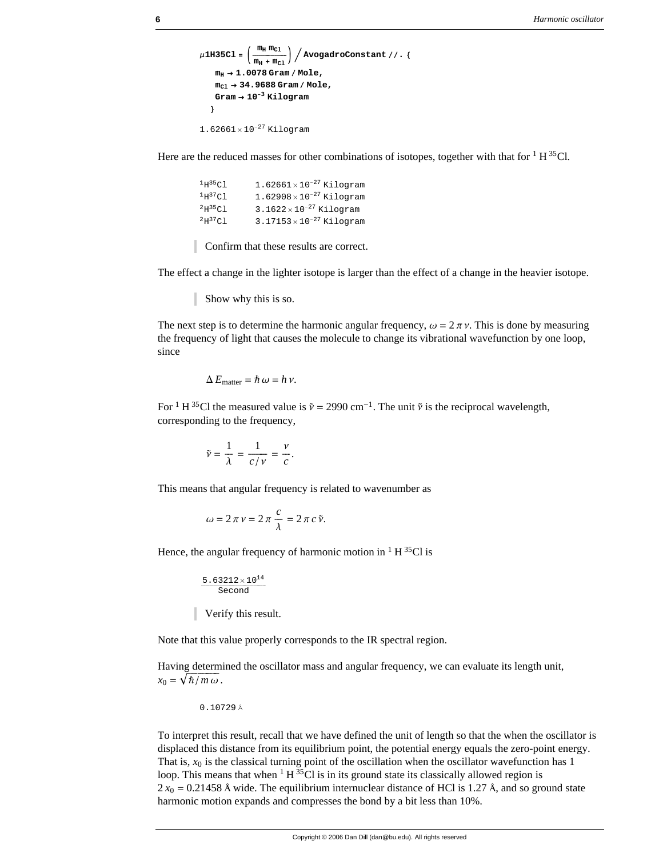```
\mu1H35Cl = \left(\frac{m_{\rm H}m_{\rm Cl}}{m_{\rm H}+m_{\rm Cl}}\right) / AvogadroConstant //. {
      m_H \rightarrow 1.0078 Gram / Mole,
      m_{c1} \rightarrow 34.9688 Gram / Mole,
      Gram \rightarrow 10<sup>-3</sup> Kilogram
    \mathcal{E}1.62661\times10^{-27} Kilogram
```
Here are the reduced masses for other combinations of isotopes, together with that for  $1 H^{35}Cl$ .

| $1.62661\times10^{-27}$ Kilogram   |
|------------------------------------|
| $1.62908 \times 10^{-27}$ Kilogram |
| $3.1622\times10^{-27}$ Kilogram    |
| $3.17153 \times 10^{-27}$ Kilogram |
|                                    |

Confirm that these results are correct.

The effect a change in the lighter isotope is larger than the effect of a change in the heavier isotope.

Show why this is so.

The next step is to determine the harmonic angular frequency,  $\omega = 2 \pi \nu$ . This is done by measuring the frequency of light that causes the molecule to change its vibrational wavefunction by one loop, since

$$
\Delta E_{\text{matter}} = \hbar \, \omega = h \, \nu.
$$

For <sup>1</sup> H<sup>35</sup>Cl the measured value is  $\tilde{v} = 2990 \text{ cm}^{-1}$ . The unit  $\tilde{v}$  is the reciprocal wavelength, corresponding to the frequency,

$$
\tilde{\nu} = \frac{1}{\lambda} = \frac{1}{c/\nu} = \frac{\nu}{c}
$$

This means that angular frequency is related to wavenumber as

$$
\omega = 2\pi v = 2\pi \frac{c}{\lambda} = 2\pi c \tilde{v}.
$$

Hence, the angular frequency of harmonic motion in  $1 H^{35}Cl$  is

 $5.63212\times10^{14}$ Second

Verify this result.

Note that this value properly corresponds to the IR spectral region.

Having determined the oscillator mass and angular frequency, we can evaluate its length unit,  $x_0 = \sqrt{\hbar/m\omega}$ .

0.10729 Å

To interpret this result, recall that we have defined the unit of length so that the when the oscillator is displaced this distance from its equilibrium point, the potential energy equals the zero-point energy. That is,  $x_0$  is the classical turning point of the oscillation when the oscillator wavefunction has 1 loop. This means that when  ${}^{1}H {}^{35}Cl$  is in its ground state its classically allowed region is  $2 x_0 = 0.21458$  Å wide. The equilibrium internuclear distance of HCl is 1.27 Å, and so ground state harmonic motion expands and compresses the bond by a bit less than 10%.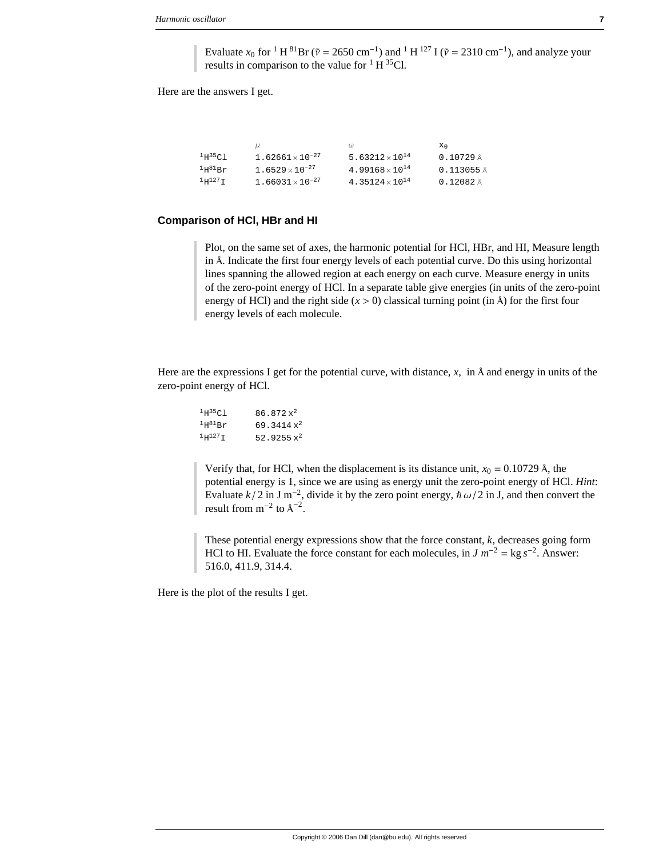Evaluate  $x_0$  for <sup>1</sup> H<sup>81</sup>Br ( $\tilde{v} = 2650$  cm<sup>-1</sup>) and <sup>1</sup> H<sup>127</sup> I ( $\tilde{v} = 2310$  cm<sup>-1</sup>), and analyze your results in comparison to the value for  $1 H^{35}Cl$ .

Here are the answers I get.

|                       |                           |                                   | Xη.       |
|-----------------------|---------------------------|-----------------------------------|-----------|
| $^1$ H $^3$ 5Cl       | $1.62661 \times 10^{-27}$ | 5.63212 $\times$ 10 <sup>14</sup> | 0.10729A  |
| $1H^{81}Br$           | $1.6529 \times 10^{-27}$  | $4.99168 \times 10^{14}$          | 0.113055A |
| $1\mathrm{H}^{127}$ T | $1.66031 \times 10^{-27}$ | 4.35124 $\times$ 10 <sup>14</sup> | 0.12082A  |

#### **Comparison of HCl, HBr and HI**

Plot, on the same set of axes, the harmonic potential for HCl, HBr, and HI, Measure length in Å. Indicate the first four energy levels of each potential curve. Do this using horizontal lines spanning the allowed region at each energy on each curve. Measure energy in units of the zero-point energy of HCl. In a separate table give energies (in units of the zero-point energy of HCl) and the right side  $(x > 0)$  classical turning point (in  $\hat{A}$ ) for the first four energy levels of each molecule.

Here are the expressions I get for the potential curve, with distance,  $x$ , in  $\hat{A}$  and energy in units of the zero-point energy of HCl.

| 1H35C1       | $86.872 x^2$  |
|--------------|---------------|
| $1H^{81}Br$  | 69.3414 $x^2$ |
| $1H^{127}$ T | 52.9255 $x^2$ |

Verify that, for HCl, when the displacement is its distance unit,  $x_0 = 0.10729$  Å, the potential energy is 1, since we are using as energy unit the zero-point energy of HCl. *Hint*: Evaluate  $k/2$  in J m<sup>-2</sup>, divide it by the zero point energy,  $\hbar \omega/2$  in J, and then convert the result from  $m^{-2}$  to  $A^{-2}$ .

These potential energy expressions show that the force constant, *k*, decreases going form HCl to HI. Evaluate the force constant for each molecules, in  $J m^{-2} = \text{kg } s^{-2}$ . Answer: 516.0, 411.9, 314.4.

Here is the plot of the results I get.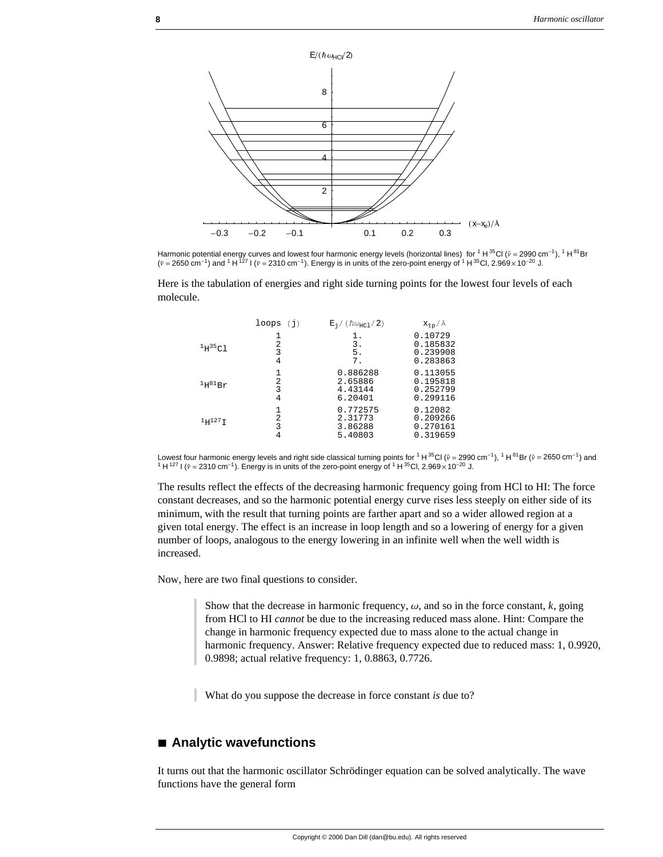

Harmonic potential energy curves and lowest four harmonic energy levels (horizontal lines) for <sup>1</sup> H <sup>35</sup>Cl ( $v = 2990$  cm<sup>-1</sup>), <sup>1</sup> H <sup>81</sup>Br  $(\tilde{v} = 2650 \text{ cm}^{-1})$  and <sup>1</sup> H <sup>127</sup> I ( $\tilde{v} = 2310 \text{ cm}^{-1}$ ). Energy is in units of the zero-point energy of <sup>1</sup> H <sup>35</sup>Cl, 2.969 × 10<sup>-20</sup> J.

Here is the tabulation of energies and right side turning points for the lowest four levels of each molecule.

|              | loops<br>(i) | $E_1/(\hbar\omega_{\text{HC1}}/2)$        | $x_{tp}/A$                                   |
|--------------|--------------|-------------------------------------------|----------------------------------------------|
| 1H35C1       | 2<br>3<br>4  | 1.<br>3.<br>5.<br>7.                      | 0.10729<br>0.185832<br>0.239908<br>0.283863  |
| $1H^{81}Br$  | 2<br>3<br>4  | 0.886288<br>2.65886<br>4.43144<br>6.20401 | 0.113055<br>0.195818<br>0.252799<br>0.299116 |
| $1H^{127}$ I | 2<br>ς       | 0.772575<br>2.31773<br>3.86288<br>5.40803 | 0.12082<br>0.209266<br>0.270161<br>0.319659  |

Lowest four harmonic energy levels and right side classical turning points for <sup>1</sup> H <sup>35</sup>Cl (p = 2990 cm<sup>-1</sup>), <sup>1</sup> H <sup>81</sup>Br (p = 2650 cm<sup>-1</sup>) and<br><sup>1</sup> H <sup>127</sup> I (p = 2310 cm<sup>-1</sup>). Energy is in units of the zero-point energy <sup>1</sup> H<sup>127</sup> I ( $\tilde{v}$  = 2310 cm<sup>-1</sup>). Energy is in units of the zero-point energy of <sup>1</sup> H<sup>35</sup>Cl, 2.969 × 10<sup>-20</sup> J.

The results reflect the effects of the decreasing harmonic frequency going from HCl to HI: The force constant decreases, and so the harmonic potential energy curve rises less steeply on either side of its minimum, with the result that turning points are farther apart and so a wider allowed region at a given total energy. The effect is an increase in loop length and so a lowering of energy for a given number of loops, analogous to the energy lowering in an infinite well when the well width is increased.

Now, here are two final questions to consider.

Show that the decrease in harmonic frequency,  $\omega$ , and so in the force constant,  $k$ , going from HCl to HI *cannot* be due to the increasing reduced mass alone. Hint: Compare the change in harmonic frequency expected due to mass alone to the actual change in harmonic frequency. Answer: Relative frequency expected due to reduced mass: 1, 0.9920, 0.9898; actual relative frequency: 1, 0.8863, 0.7726.

What do you suppose the decrease in force constant *is* due to?

#### **à Analytic wavefunctions**

It turns out that the harmonic oscillator Schrödinger equation can be solved analytically. The wave functions have the general form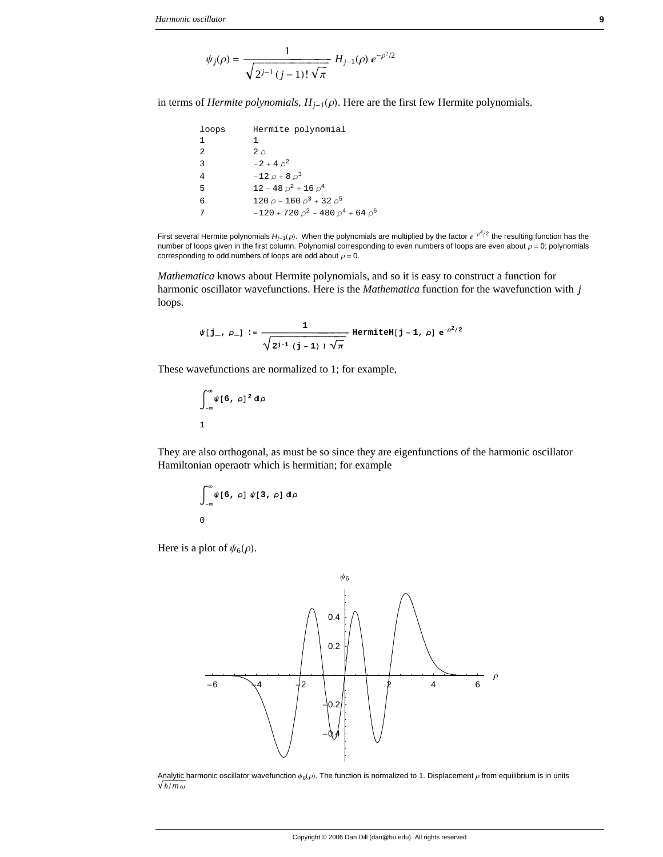$$
\psi_j(\rho) = \frac{1}{\sqrt{2^{j-1} (j-1)! \sqrt{\pi}}} H_{j-1}(\rho) e^{-\rho^2/2}
$$

in terms of *Hermite polynomials*,  $H_{j-1}(\rho)$ . Here are the first few Hermite polynomials.

loops Hermite polynomial  $\mathbf{1}$  $\mathbf 1$  $\sqrt{2}$  $2\rho$  $-2 + 4 \rho^2$  $\mathsf 3$  $-12 \rho + 8 \rho^3$  $\sqrt{4}$  $12 - 48 \rho^2 + 16 \rho^4$ 5 120  $\rho$  - 160  $\rho^3$  + 32  $\rho^5$  $6\overline{6}$  $-120 + 720 \rho^2 - 480 \rho^4 + 64 \rho^6$  $\overline{7}$ 

First several Hermite polynomials  $H_{j-1}(\rho)$ . When the polynomials are multiplied by the factor  $e^{-\rho^2/2}$  the resulting function has the number of loops given in the first column. Polynomial corresponding to even numbers of loops are even about  $\rho = 0$ ; polynomials corresponding to odd numbers of loops are odd about  $\rho = 0$ .

Mathematica knows about Hermite polynomials, and so it is easy to construct a function for harmonic oscillator wavefunctions. Here is the *Mathematica* function for the wavefunction with  $j$ loops.

$$
\psi[j_-, \rho_+] := \frac{1}{\sqrt{2^{j-1} (j-1)! \sqrt{\pi}}} \text{ HermiteH}[j-1, \rho] e^{-\rho^2/2}
$$

These wavefunctions are normalized to 1; for example,

$$
\int_{-\infty}^{\infty} \psi[6, \rho]^2 d\rho
$$

They are also orthogonal, as must be so since they are eigenfunctions of the harmonic oscillator Hamiltonian operaotr which is hermitian; for example

$$
\int_{-\infty}^{\infty} \psi[6, \rho] \psi[3, \rho] d\rho
$$
0

Here is a plot of  $\psi_6(\rho)$ .



Analytic harmonic oscillator wavefunction  $\psi_6(\rho)$ . The function is normalized to 1. Displacement  $\rho$  from equilibrium is in units  $\sqrt{\hbar/m\omega}$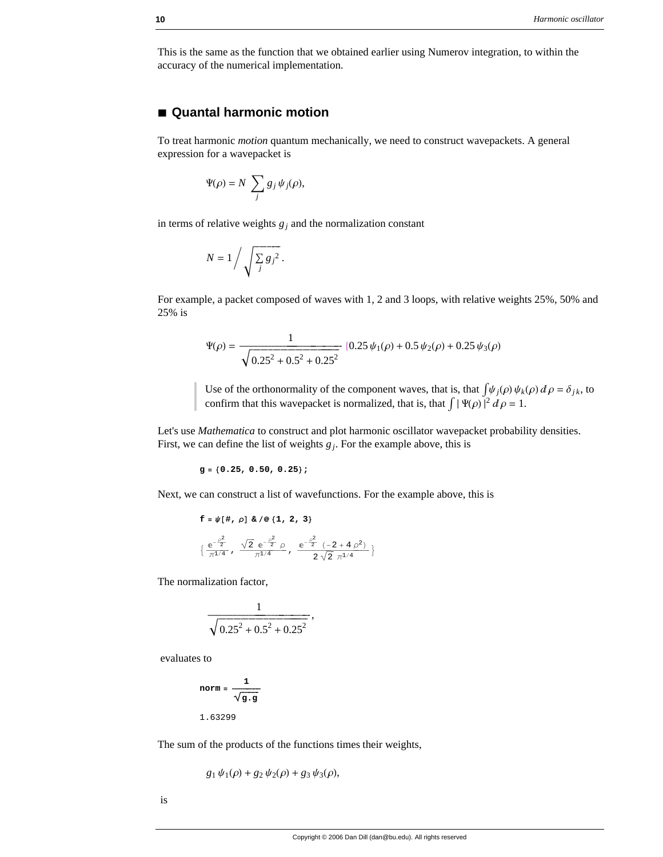This is the same as the function that we obtained earlier using Numerov integration, to within the accuracy of the numerical implementation.

#### **à Quantal harmonic motion**

To treat harmonic *motion* quantum mechanically, we need to construct wavepackets. A general expression for a wavepacket is

$$
\Psi(\rho) = N \sum_j g_j \psi_j(\rho),
$$

in terms of relative weights  $g_j$  and the normalization constant

$$
N = 1 / \sqrt{\sum_j g_j^2}.
$$

For example, a packet composed of waves with 1, 2 and 3 loops, with relative weights 25%, 50% and 25% is

$$
\Psi(\rho) = \frac{1}{\sqrt{0.25^2 + 0.5^2 + 0.25^2}} (0.25 \psi_1(\rho) + 0.5 \psi_2(\rho) + 0.25 \psi_3(\rho))
$$

Use of the orthonormality of the component waves, that is, that  $\int \psi_j(\rho) \psi_k(\rho) d\rho = \delta_{jk}$ , to confirm that this wavepacket is normalized, that is, that  $\int |\Psi(\rho)|^2 d\rho = 1$ .

Let's use *Mathematica* to construct and plot harmonic oscillator wavepacket probability densities. First, we can define the list of weights  $g_j$ . For the example above, this is

$$
g = \{0.25, 0.50, 0.25\};
$$

Next, we can construct a list of wavefunctions. For the example above, this is

$$
\begin{aligned}\n\mathbf{f} &= \psi \left[ \# \text{, } \rho \right] \& / \mathbf{Q} \left\{ 1 \text{, } 2 \text{, } 3 \right\} \\
& \left\{ \frac{e^{-\frac{\rho^2}{2}}}{\pi^{1/4}} \text{, } \frac{\sqrt{2} \, e^{-\frac{\rho^2}{2}} \, \rho}{\pi^{1/4}} \text{, } \frac{e^{-\frac{\rho^2}{2}} \, \left( -2 + 4 \, \rho^2 \right)}{2 \, \sqrt{2} \, \pi^{1/4}} \right\}\n\end{aligned}
$$

The normalization factor,

$$
\frac{1}{\sqrt{0.25^2 + 0.5^2 + 0.25^2}},
$$

evaluates to

$$
norm = \frac{1}{\sqrt{g \cdot g}}
$$
  
1.63299

The sum of the products of the functions times their weights,

$$
g_1 \psi_1(\rho) + g_2 \psi_2(\rho) + g_3 \psi_3(\rho),
$$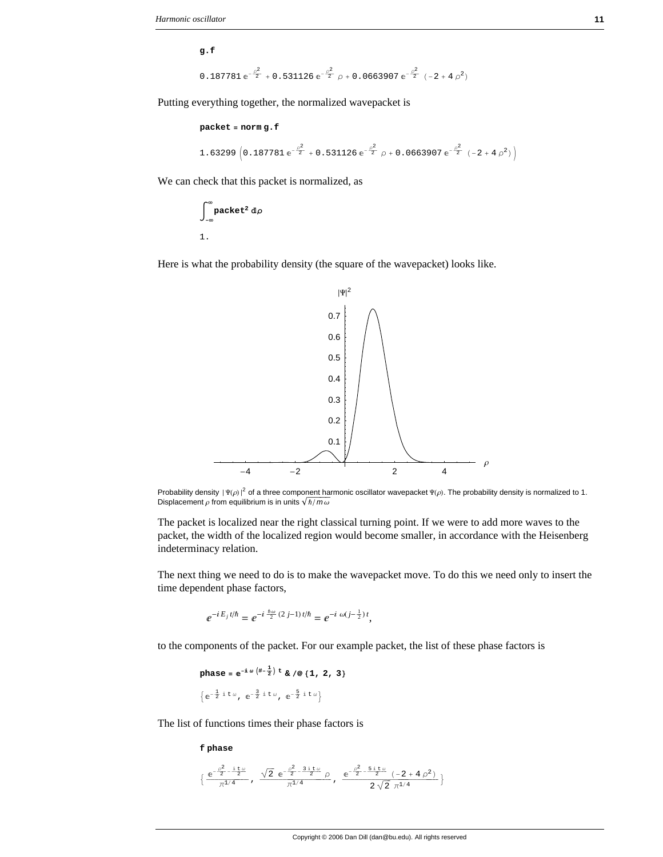**g.f**

$$
0.187781 e^{-\frac{\rho^2}{2}} + 0.531126 e^{-\frac{\rho^2}{2}} \rho + 0.0663907 e^{-\frac{\rho^2}{2}} (-2 + 4 \rho^2)
$$

Putting everything together, the normalized wavepacket is

```
packet = norm g.f
 1.63299 \left(0.187781\,{\rm e}^{-\frac{\rho^2}{2}}+0.531126\,{\rm e}^{-\frac{\rho^2}{2}}\,\rho+0.0663907\,{\rm e}^{-\frac{\rho^2}{2}}\,\left(-2+4\,\rho^2\right)\right)
```
We can check that this packet is normalized, as

$$
\int_{-\infty}^{\infty} \text{packet}^2 \, d\rho
$$
  
1.

Here is what the probability density (the square of the wavepacket) looks like.



Probability density  $|\Psi(\rho)|^2$  of a three component harmonic oscillator wavepacket  $\Psi(\rho)$ . The probability density is normalized to 1. Displacement  $\rho$  from equilibrium is in units  $\sqrt{\hbar/m\omega}$ 

The packet is localized near the right classical turning point. If we were to add more waves to the packet, the width of the localized region would become smaller, in accordance with the Heisenberg indeterminacy relation.

The next thing we need to do is to make the wavepacket move. To do this we need only to insert the time dependent phase factors,

$$
e^{-iE_j t/\hbar} = e^{-i\frac{\hbar\omega}{2}(2j-1)t/\hbar} = e^{-i\omega(j-\frac{1}{2})t},
$$

to the components of the packet. For our example packet, the list of these phase factors is

$$
\mathbf{phase} = e^{-i\omega \left(\frac{+i}{2}\right)t} \& \text{ /} \textcircled{1, 2, 3}
$$
\n
$$
\left\{ e^{-\frac{1}{2}i t \omega}, e^{-\frac{3}{2}i t \omega}, e^{-\frac{5}{2}i t \omega} \right\}
$$

The list of functions times their phase factors is

**f phase**

$$
\big\{\frac{\mathrm{e}^{-\frac{\rho^2}{2}-\frac{\mathrm{i}\,t\,\omega}{2}}}{\pi^{1/4}}\;,\;\;\frac{\sqrt{2}\;\mathrm{e}^{-\frac{\rho^2}{2}-\frac{3\,\mathrm{i}\,t\,\omega}{2}}}{\pi^{1/4}}\,\rho\;\;,\;\;\frac{\mathrm{e}^{-\frac{\rho^2}{2}-\frac{5\,\mathrm{i}\,t\,\omega}{2}}\,(-2+4\,\rho^2)}{2\,\sqrt{2}\;\pi^{1/4}}\,\big\}
$$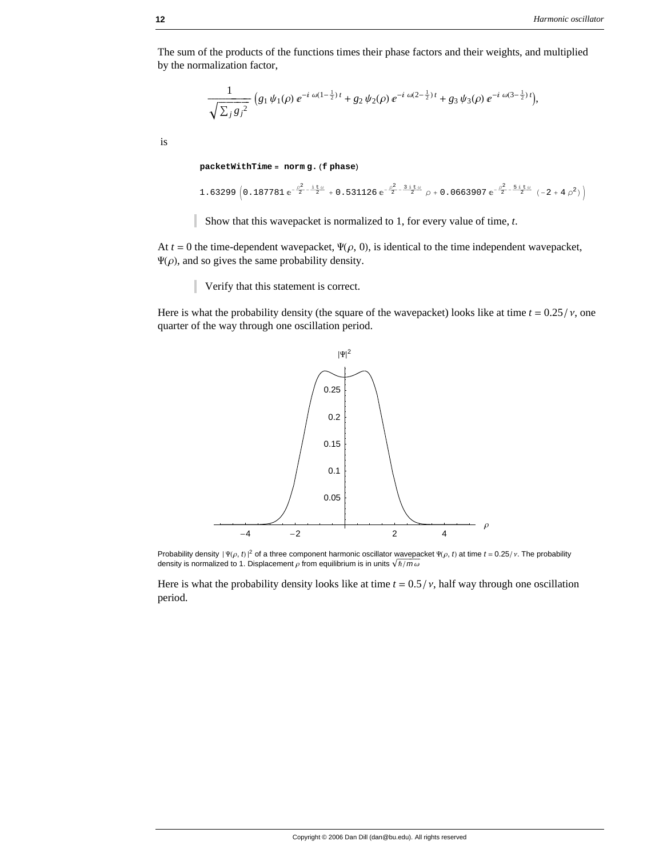The sum of the products of the functions times their phase factors and their weights, and multiplied by the normalization factor,

$$
\frac{1}{\sqrt{\sum_j {g_j}^2}} \left( g_1 \psi_1(\rho) \, e^{-i \, \omega (1 - \frac{1}{2}) \, t} + g_2 \psi_2(\rho) \, e^{-i \, \omega (2 - \frac{1}{2}) \, t} + g_3 \psi_3(\rho) \, e^{-i \, \omega (3 - \frac{1}{2}) \, t} \right),
$$

is

 $packetWithTime = norm g. (f phase)$ 

```
1.63299 \left(0.187781\,{\rm e}^{-\frac{\rho^2}{2}-\frac{\rm i}\,t\,\omega}+0.531126\,{\rm e}^{-\frac{\rho^2}{2}-\frac{\rm 3\,i\,t\,\omega}{2}}\,\rho+0.0663907\,{\rm e}^{-\frac{\rho^2}{2}-\frac{\rm 5\,i\,t\,\omega}{2}}\,\left(-2+4\,\rho^2\right)\right)
```
Show that this wavepacket is normalized to 1, for every value of time, *t*.

At  $t = 0$  the time-dependent wavepacket,  $\Psi(\rho, 0)$ , is identical to the time independent wavepacket,  $\Psi(\rho)$ , and so gives the same probability density.

Verify that this statement is correct.

Here is what the probability density (the square of the wavepacket) looks like at time  $t = 0.25 / v$ , one quarter of the way through one oscillation period.



Probability density  $|\Psi(\rho, t)|^2$  of a three component harmonic oscillator wavepacket  $\Psi(\rho, t)$  at time  $t = 0.25/\nu$ . The probability density is normalized to 1. Displacement  $\rho$  from equilibrium is in units  $\sqrt{\hbar/m\omega}$ 

Here is what the probability density looks like at time  $t = 0.5 / v$ , half way through one oscillation period.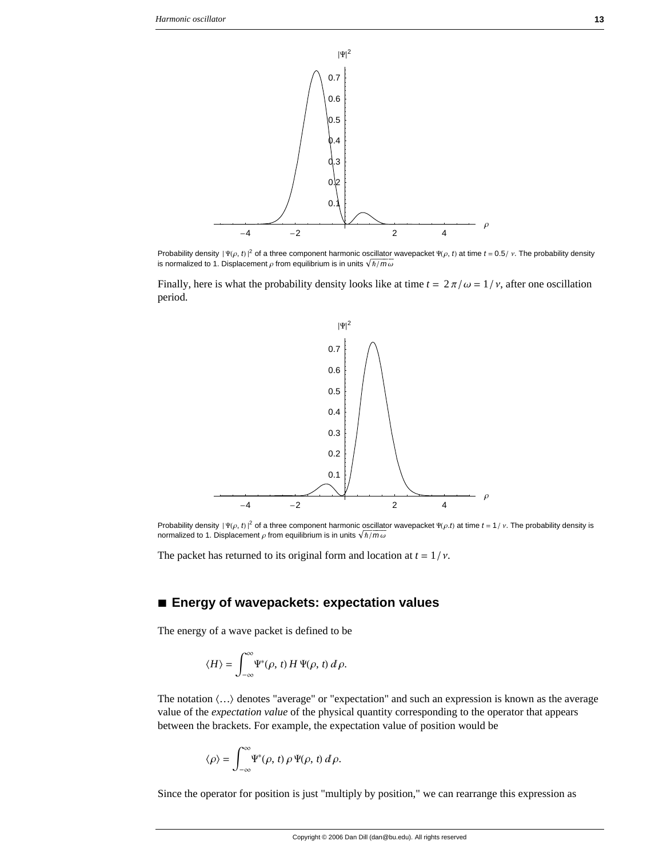

Probability density  $|\Psi(\rho, t)|^2$  of a three component harmonic oscillator wavepacket  $\Psi(\rho, t)$  at time  $t = 0.5 / v$ . The probability density is normalized to 1. Displacement  $\rho$  from equilibrium is in units  $\sqrt{\hbar/m\omega}$ 

Finally, here is what the probability density looks like at time  $t = 2\pi/\omega = 1/\nu$ , after one oscillation period.



Probability density  $|\Psi(\rho, t)|^2$  of a three component harmonic oscillator wavepacket  $\Psi(\rho, t)$  at time  $t = 1/v$ . The probability density is normalized to 1. Displacement  $\rho$  from equilibrium is in units  $\sqrt{\hbar / m \omega}$ 

The packet has returned to its original form and location at  $t = 1/v$ .

#### **à Energy of wavepackets: expectation values**

The energy of a wave packet is defined to be

$$
\langle H \rangle = \int_{-\infty}^{\infty} \Psi^*(\rho, t) H \Psi(\rho, t) d\rho.
$$

The notation  $\langle \ldots \rangle$  denotes "average" or "expectation" and such an expression is known as the average value of the *expectation value* of the physical quantity corresponding to the operator that appears between the brackets. For example, the expectation value of position would be

$$
\langle \rho \rangle = \int_{-\infty}^{\infty} \Psi^*(\rho, t) \, \rho \, \Psi(\rho, t) \, d\rho.
$$

Since the operator for position is just "multiply by position," we can rearrange this expression as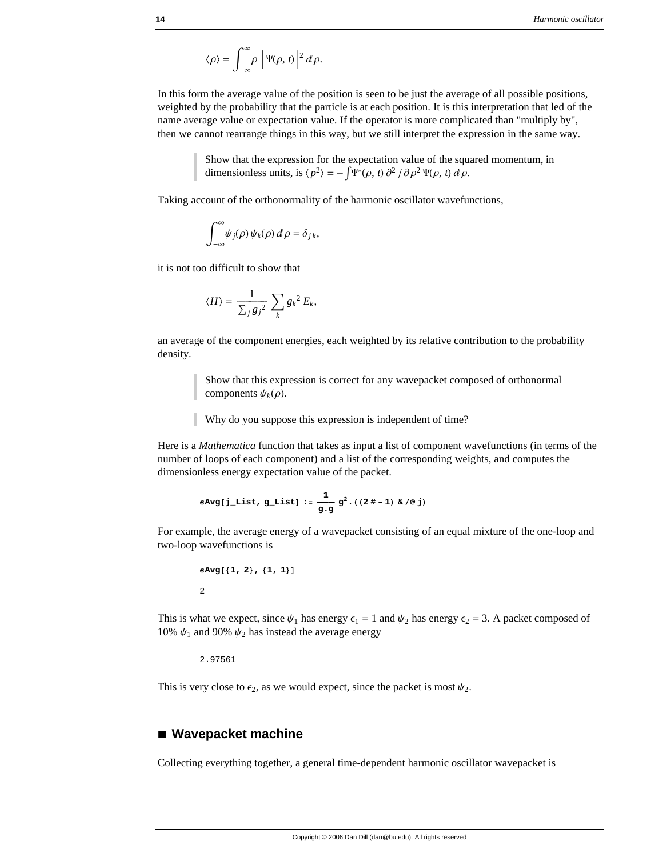$$
\langle \rho \rangle = \int_{-\infty}^{\infty} \rho \, \left| \Psi(\rho, t) \right|^2 d\rho.
$$

In this form the average value of the position is seen to be just the average of all possible positions, weighted by the probability that the particle is at each position. It is this interpretation that led of the name average value or expectation value. If the operator is more complicated than "multiply by", then we cannot rearrange things in this way, but we still interpret the expression in the same way.

> Show that the expression for the expectation value of the squared momentum, in dimensionless units, is  $\langle p^2 \rangle = -\int \Psi^* (\rho, t) \frac{\partial^2}{\partial \rho^2} \Psi(\rho, t) d\rho$ .

Taking account of the orthonormality of the harmonic oscillator wavefunctions,

$$
\int_{-\infty}^{\infty} \psi_j(\rho) \psi_k(\rho) d\rho = \delta_{jk},
$$

it is not too difficult to show that

$$
\langle H \rangle = \frac{1}{\sum_j {g_j}^2} \sum_k {g_k}^2 E_k,
$$

an average of the component energies, each weighted by its relative contribution to the probability density.

> Show that this expression is correct for any wavepacket composed of orthonormal components  $\psi_k(\rho)$ .

Why do you suppose this expression is independent of time?

Here is a *Mathematica* function that takes as input a list of component wavefunctions (in terms of the number of loops of each component) and a list of the corresponding weights, and computes the dimensionless energy expectation value of the packet.

$$
\epsilon \text{Avg[j\_List, g\_List]} := \frac{1}{g \cdot g} g^2 \cdot ((2 \# - 1) \& \text{/@j})
$$

For example, the average energy of a wavepacket consisting of an equal mixture of the one-loop and two-loop wavefunctions is

```
\epsilonAvg[{1, 2}, {1, 1}]2
```
This is what we expect, since  $\psi_1$  has energy  $\epsilon_1 = 1$  and  $\psi_2$  has energy  $\epsilon_2 = 3$ . A packet composed of 10%  $\psi_1$  and 90%  $\psi_2$  has instead the average energy

2.97561

This is very close to  $\epsilon_2$ , as we would expect, since the packet is most  $\psi_2$ .

#### **à Wavepacket machine**

Collecting everything together, a general time-dependent harmonic oscillator wavepacket is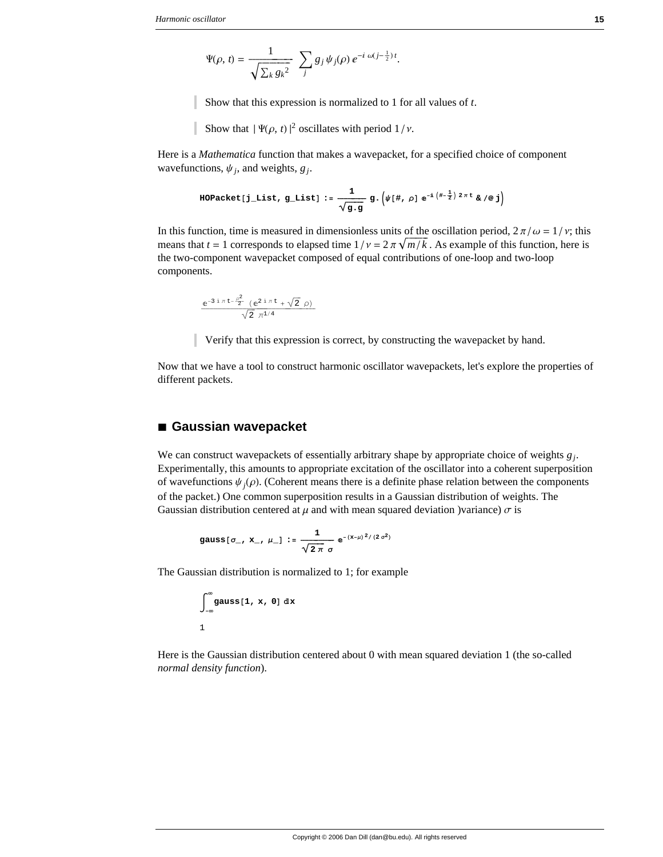$$
\Psi(\rho, t) = \frac{1}{\sqrt{\sum_{k} g_{k}^{2}}} \sum_{j} g_{j} \psi_{j}(\rho) e^{-i \omega (j - \frac{1}{2}) t}.
$$

Show that this expression is normalized to 1 for all values of *t*.

Show that  $|\Psi(\rho, t)|^2$  oscillates with period  $1/v$ .

Here is a *Mathematica* function that makes a wavepacket, for a specified choice of component wavefunctions,  $\psi_i$ , and weights,  $g_i$ .

HOPacket[j\_list, g\_list] := 
$$
\frac{1}{\sqrt{g \cdot g}}
$$
 g.  $(\psi[\#, \rho] e^{-i (\# - \frac{1}{2}) 2 \pi t} \& \text{ } / \emptyset j)$ 

In this function, time is measured in dimensionless units of the oscillation period,  $2\pi/\omega = 1/\nu$ ; this means that  $t = 1$  corresponds to elapsed time  $1/v = 2 \pi \sqrt{m/k}$ . As example of this function, here is the two-component wavepacket composed of equal contributions of one-loop and two-loop components.

$$
\frac{e^{-3 i \pi t - \frac{\rho^2}{2}} (e^{2 i \pi t} + \sqrt{2} \rho)}{\sqrt{2} \pi^{1/4}}
$$

Verify that this expression is correct, by constructing the wavepacket by hand.

Now that we have a tool to construct harmonic oscillator wavepackets, let's explore the properties of different packets.

#### **à Gaussian wavepacket**

We can construct wavepackets of essentially arbitrary shape by appropriate choice of weights  $g_i$ . Experimentally, this amounts to appropriate excitation of the oscillator into a coherent superposition of wavefunctions  $\psi_j(\rho)$ . (Coherent means there is a definite phase relation between the components of the packet.) One common superposition results in a Gaussian distribution of weights. The Gaussian distribution centered at  $\mu$  and with mean squared deviation )variance)  $\sigma$  is

$$
gauss[\sigma_-, x_-, \mu_-] := \frac{1}{\sqrt{2\pi}} e^{-(x-\mu)^2/(2\sigma^2)}
$$

The Gaussian distribution is normalized to 1; for example

$$
\int_{-\infty}^{\infty} \text{gauss}[1, x, 0] \, \mathrm{d}x
$$
1

Here is the Gaussian distribution centered about 0 with mean squared deviation 1 (the so-called *normal density function*).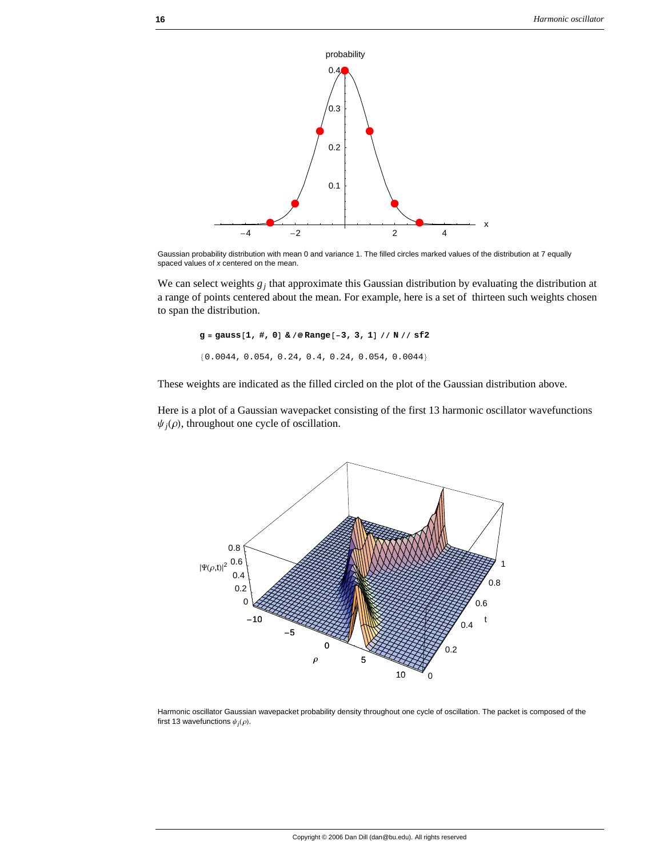

Gaussian probability distribution with mean 0 and variance 1. The filled circles marked values of the distribution at 7 equally spaced values of *x* centered on the mean.

We can select weights  $g_j$  that approximate this Gaussian distribution by evaluating the distribution at a range of points centered about the mean. For example, here is a set of thirteen such weights chosen to span the distribution.

**g** = **gauss** $[1, #, 0]$  &  $\neq$  **Range** $[-3, 3, 1]$  // **N** // **sf2**  ${0.0044, 0.054, 0.24, 0.4, 0.24, 0.054, 0.0044}$ 

These weights are indicated as the filled circled on the plot of the Gaussian distribution above.

Here is a plot of a Gaussian wavepacket consisting of the first 13 harmonic oscillator wavefunctions  $\psi_j(\rho)$ , throughout one cycle of oscillation.



Harmonic oscillator Gaussian wavepacket probability density throughout one cycle of oscillation. The packet is composed of the first 13 wavefunctions  $\psi_i(\rho)$ .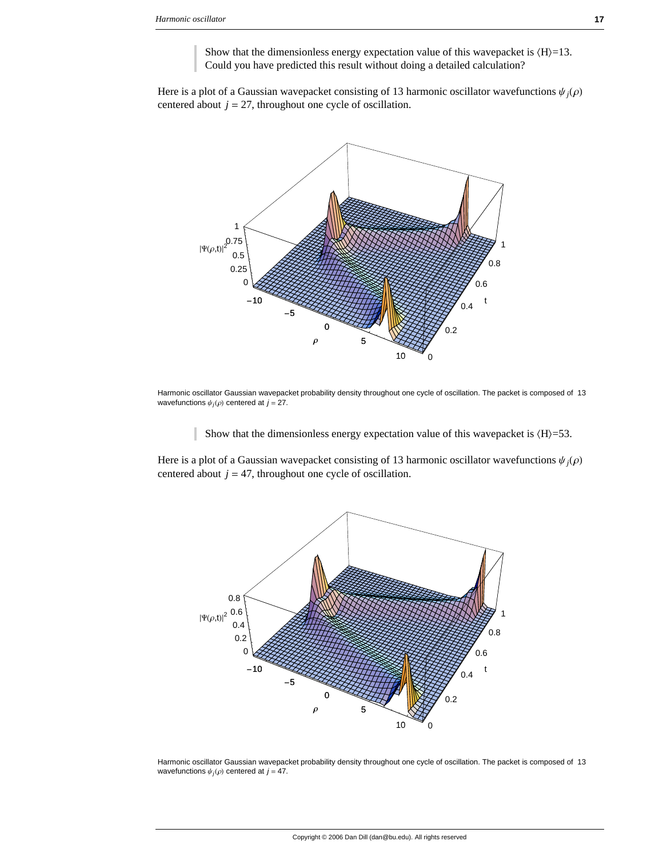Show that the dimensionless energy expectation value of this wavepacket is  $(H)=13$ . Could you have predicted this result without doing a detailed calculation?

Here is a plot of a Gaussian wavepacket consisting of 13 harmonic oscillator wavefunctions  $\psi_j(\rho)$ centered about  $j = 27$ , throughout one cycle of oscillation.



Harmonic oscillator Gaussian wavepacket probability density throughout one cycle of oscillation. The packet is composed of 13 wavefunctions  $\psi_i(\rho)$  centered at  $j = 27$ .

Show that the dimensionless energy expectation value of this wavepacket is  $\langle H \rangle = 53$ .

Here is a plot of a Gaussian wavepacket consisting of 13 harmonic oscillator wavefunctions  $\psi_i(\rho)$ centered about  $j = 47$ , throughout one cycle of oscillation.



Harmonic oscillator Gaussian wavepacket probability density throughout one cycle of oscillation. The packet is composed of 13 wavefunctions  $\psi_j(\rho)$  centered at  $j = 47$ .